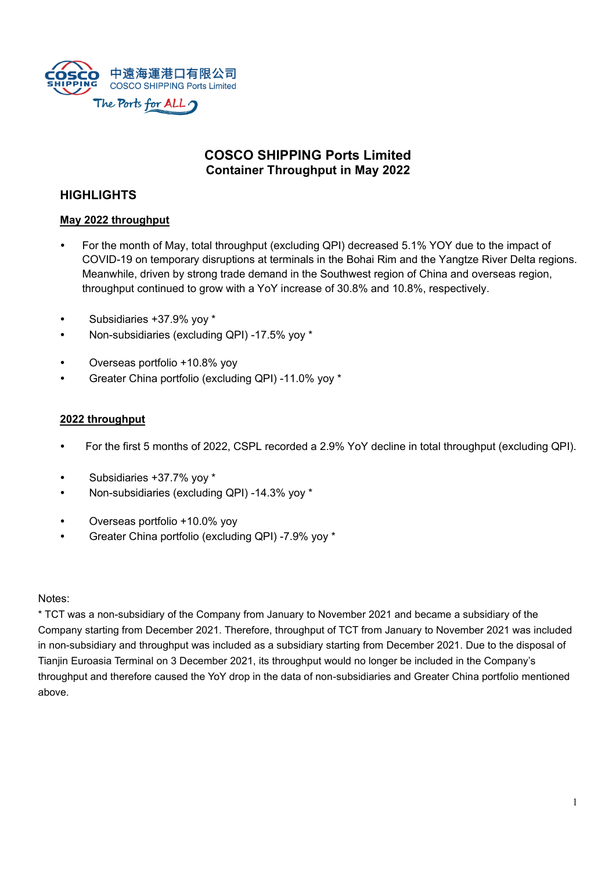

# **COSCO SHIPPING Ports Limited Container Throughput in May 2022**

# **HIGHLIGHTS**

### **May 2022 throughput**

- For the month of May, total throughput (excluding QPI) decreased 5.1% YOY due to the impact of COVID-19 on temporary disruptions at terminals in the Bohai Rim and the Yangtze River Delta regions. Meanwhile, driven by strong trade demand in the Southwest region of China and overseas region, throughput continued to grow with a YoY increase of 30.8% and 10.8%, respectively.
- Subsidiaries +37.9% yoy \*
- Non-subsidiaries (excluding QPI) -17.5% yoy \*
- Overseas portfolio +10.8% yoy
- Greater China portfolio (excluding QPI) -11.0% yoy \*

#### **2022 throughput**

- For the first 5 months of 2022, CSPL recorded a 2.9% YoY decline in total throughput (excluding QPI).
- Subsidiaries +37.7% yoy \*
- Non-subsidiaries (excluding QPI) -14.3% yoy \*
- Overseas portfolio +10.0% yoy
- Greater China portfolio (excluding QPI) -7.9% yoy \*

Notes:

\* TCT was a non-subsidiary of the Company from January to November 2021 and became a subsidiary of the Company starting from December 2021. Therefore, throughput of TCT from January to November 2021 was included in non-subsidiary and throughput was included as a subsidiary starting from December 2021. Due to the disposal of Tianjin Euroasia Terminal on 3 December 2021, its throughput would no longer be included in the Company's throughput and therefore caused the YoY drop in the data of non-subsidiaries and Greater China portfolio mentioned above.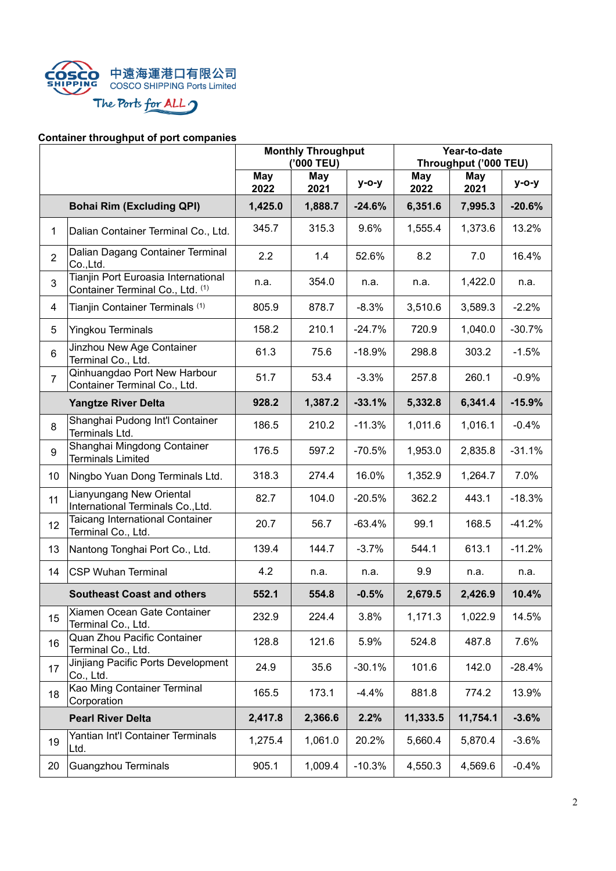

# **Container throughput of port companies**

|                |                                                                         | <b>Monthly Throughput</b><br>('000 TEU) |                    |              | Year-to-date<br>Throughput ('000 TEU) |             |          |
|----------------|-------------------------------------------------------------------------|-----------------------------------------|--------------------|--------------|---------------------------------------|-------------|----------|
|                |                                                                         | <b>May</b><br>2022                      | <b>May</b><br>2021 | <b>y-o-y</b> | May<br>2022                           | May<br>2021 | $y$ -o-y |
|                | <b>Bohai Rim (Excluding QPI)</b>                                        | 1,425.0                                 | 1,888.7            | $-24.6%$     | 6,351.6                               | 7,995.3     | $-20.6%$ |
| 1              | Dalian Container Terminal Co., Ltd.                                     | 345.7                                   | 315.3              | 9.6%         | 1,555.4                               | 1,373.6     | 13.2%    |
| $\overline{2}$ | Dalian Dagang Container Terminal<br>Co., Ltd.                           | 2.2                                     | 1.4                | 52.6%        | 8.2                                   | 7.0         | 16.4%    |
| 3              | Tianjin Port Euroasia International<br>Container Terminal Co., Ltd. (1) | n.a.                                    | 354.0              | n.a.         | n.a.                                  | 1,422.0     | n.a.     |
| 4              | Tianjin Container Terminals (1)                                         | 805.9                                   | 878.7              | $-8.3%$      | 3,510.6                               | 3,589.3     | $-2.2%$  |
| 5              | <b>Yingkou Terminals</b>                                                | 158.2                                   | 210.1              | $-24.7%$     | 720.9                                 | 1,040.0     | $-30.7%$ |
| 6              | Jinzhou New Age Container<br>Terminal Co., Ltd.                         | 61.3                                    | 75.6               | $-18.9%$     | 298.8                                 | 303.2       | $-1.5%$  |
| $\overline{7}$ | Qinhuangdao Port New Harbour<br>Container Terminal Co., Ltd.            | 51.7                                    | 53.4               | $-3.3%$      | 257.8                                 | 260.1       | $-0.9%$  |
|                | <b>Yangtze River Delta</b>                                              | 928.2                                   | 1,387.2            | $-33.1%$     | 5,332.8                               | 6,341.4     | $-15.9%$ |
| 8              | Shanghai Pudong Int'l Container<br>Terminals Ltd.                       | 186.5                                   | 210.2              | $-11.3%$     | 1,011.6                               | 1,016.1     | $-0.4%$  |
| 9              | Shanghai Mingdong Container<br><b>Terminals Limited</b>                 | 176.5                                   | 597.2              | $-70.5%$     | 1,953.0                               | 2,835.8     | $-31.1%$ |
| 10             | Ningbo Yuan Dong Terminals Ltd.                                         | 318.3                                   | 274.4              | 16.0%        | 1,352.9                               | 1,264.7     | 7.0%     |
| 11             | Lianyungang New Oriental<br>International Terminals Co., Ltd.           | 82.7                                    | 104.0              | $-20.5%$     | 362.2                                 | 443.1       | $-18.3%$ |
| 12             | Taicang International Container<br>Terminal Co., Ltd.                   | 20.7                                    | 56.7               | $-63.4%$     | 99.1                                  | 168.5       | $-41.2%$ |
| 13             | Nantong Tonghai Port Co., Ltd.                                          | 139.4                                   | 144.7              | $-3.7%$      | 544.1                                 | 613.1       | $-11.2%$ |
| 14             | <b>CSP Wuhan Terminal</b>                                               | 4.2                                     | n.a.               | n.a.         | 9.9                                   | n.a.        | n.a.     |
|                | <b>Southeast Coast and others</b>                                       | 552.1                                   | 554.8              | $-0.5%$      | 2,679.5                               | 2,426.9     | 10.4%    |
| 15             | Xiamen Ocean Gate Container<br>Terminal Co., Ltd.                       | 232.9                                   | 224.4              | 3.8%         | 1,171.3                               | 1,022.9     | 14.5%    |
| 16             | Quan Zhou Pacific Container<br>Terminal Co., Ltd.                       | 128.8                                   | 121.6              | 5.9%         | 524.8                                 | 487.8       | 7.6%     |
| 17             | Jinjiang Pacific Ports Development<br>Co., Ltd.                         | 24.9                                    | 35.6               | $-30.1%$     | 101.6                                 | 142.0       | $-28.4%$ |
| 18             | Kao Ming Container Terminal<br>Corporation                              | 165.5                                   | 173.1              | $-4.4%$      | 881.8                                 | 774.2       | 13.9%    |
|                | <b>Pearl River Delta</b>                                                | 2,417.8                                 | 2,366.6            | 2.2%         | 11,333.5                              | 11,754.1    | $-3.6%$  |
| 19             | Yantian Int'l Container Terminals<br>Ltd.                               | 1,275.4                                 | 1,061.0            | 20.2%        | 5,660.4                               | 5,870.4     | $-3.6%$  |
| 20             | Guangzhou Terminals                                                     | 905.1                                   | 1,009.4            | $-10.3%$     | 4,550.3                               | 4,569.6     | $-0.4%$  |